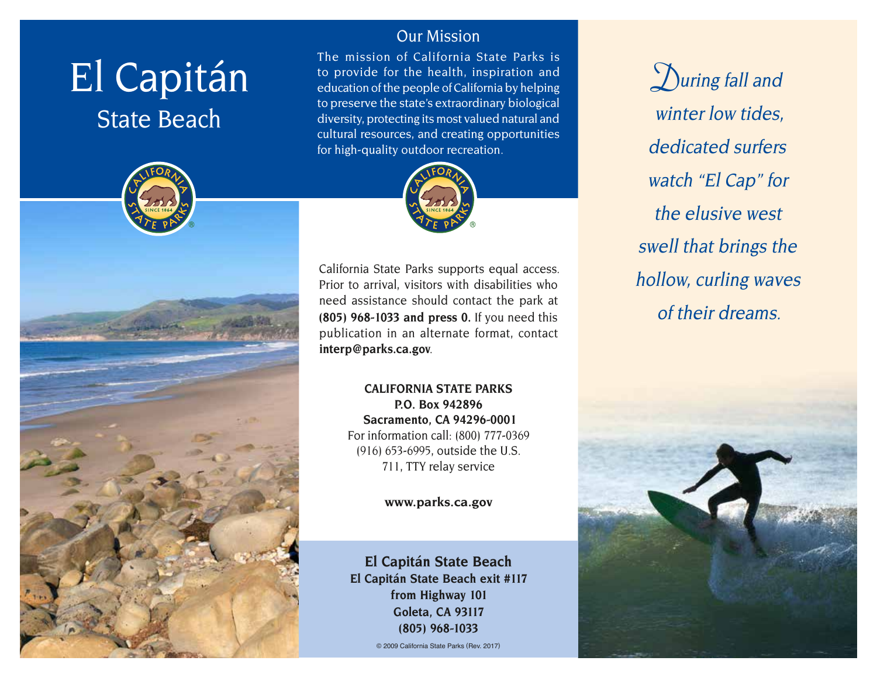# El Capitán

## State Beach



#### Our Mission

The mission of California State Parks is to provide for the health, inspiration and education of the people of California by helping to preserve the state's extraordinary biological diversity, protecting its most valued natural and cultural resources, and creating opportunities for high-quality outdoor recreation.



California State Parks supports equal access. Prior to arrival, visitors with disabilities who need assistance should contact the park at **(805) 968-1033 and press 0.** If you need this publication in an alternate format, contact **[interp@parks.ca.gov](mailto:interp@parks.ca.gov)**.

> **CALIFORNIA STATE PARKS P.O. Box 942896 Sacramento, CA 94296-0001** For information call: (800) 777-0369 (916) 653-6995, outside the U.S. 711, TTY relay service

> > **[www.parks.ca.gov](http://www.parks.ca.gov)**

**El Capitán State Beach El Capitán State Beach exit #117 from Highway 101 Goleta, CA 93117 (805) 968-1033**

© 2009 California State Parks (Rev. 2017)

**D**uring fall and winter low tides, dedicated surfers watch "El Cap" for the elusive west swell that brings the hollow, curling waves of their dreams.

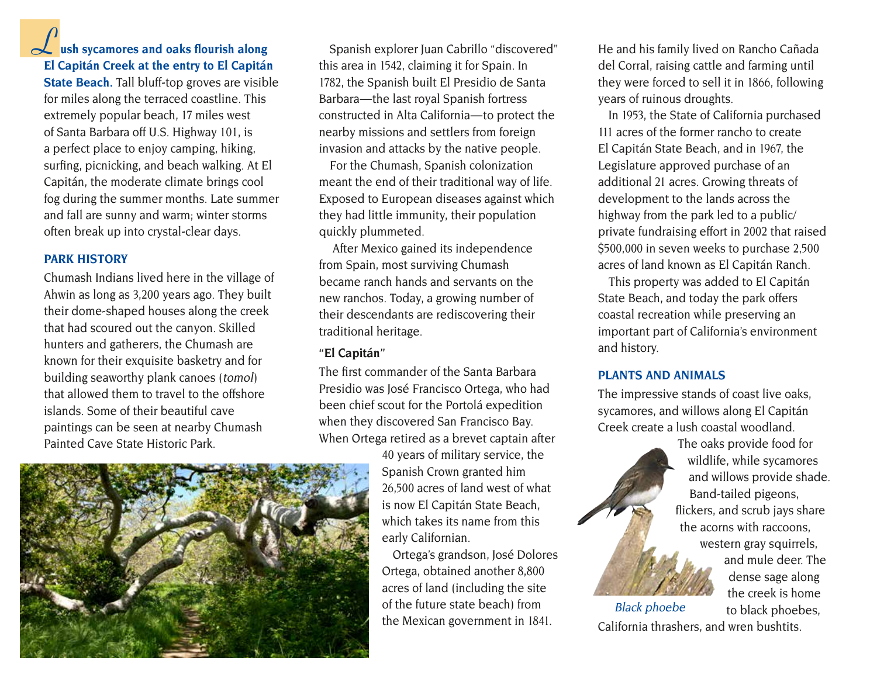#### $\overline{\mathbf{r}}$ **Lush sycamores and oaks flourish along El Capitán Creek at the entry to El Capitán**

**State Beach.** Tall bluff-top groves are visible for miles along the terraced coastline. This extremely popular beach, 17 miles west of Santa Barbara off U.S. Highway 101, is a perfect place to enjoy camping, hiking, surfing, picnicking, and beach walking. At El Capitán, the moderate climate brings cool fog during the summer months. Late summer and fall are sunny and warm; winter storms often break up into crystal-clear days.

#### **PARK HISTORY**

Chumash Indians lived here in the village of Ahwin as long as 3,200 years ago. They built their dome-shaped houses along the creek that had scoured out the canyon. Skilled hunters and gatherers, the Chumash are known for their exquisite basketry and for building seaworthy plank canoes (*tomol*) that allowed them to travel to the offshore islands. Some of their beautiful cave paintings can be seen at nearby Chumash Painted Cave State Historic Park.

Spanish explorer Juan Cabrillo "discovered" this area in 1542, claiming it for Spain. In 1782, the Spanish built El Presidio de Santa Barbara — the last royal Spanish fortress constructed in Alta California-to protect the nearby missions and settlers from foreign invasion and attacks by the native people.

For the Chumash, Spanish colonization meant the end of their traditional way of life. Exposed to European diseases against which they had little immunity, their population quickly plummeted.

 After Mexico gained its independence from Spain, most surviving Chumash became ranch hands and servants on the new ranchos. Today, a growing number of their descendants are rediscovering their traditional heritage.

#### **"El Capitán"**

The first commander of the Santa Barbara Presidio was José Francisco Ortega, who had been chief scout for the Portolá expedition when they discovered San Francisco Bay. When Ortega retired as a brevet captain after

> 40 years of military service, the Spanish Crown granted him 26,500 acres of land west of what is now El Capitán State Beach, which takes its name from this early Californian.

Ortega's grandson, José Dolores Ortega, obtained another 8,800 acres of land (including the site of the future state beach) from the Mexican government in 1841.

He and his family lived on Rancho Cañada del Corral, raising cattle and farming until they were forced to sell it in 1866, following years of ruinous droughts.

In 1953, the State of California purchased 111 acres of the former rancho to create El Capitán State Beach, and in 1967, the Legislature approved purchase of an additional 21 acres. Growing threats of development to the lands across the highway from the park led to a public/ private fundraising effort in 2002 that raised \$500,000 in seven weeks to purchase 2,500 acres of land known as El Capitán Ranch.

This property was added to El Capitán State Beach, and today the park offers coastal recreation while preserving an important part of California's environment and history.

#### **PLANTS AND ANIMALS**

The impressive stands of coast live oaks, sycamores, and willows along El Capitán Creek create a lush coastal woodland.

> The oaks provide food for wildlife, while sycamores and willows provide shade. Band-tailed pigeons, flickers, and scrub jays share the acorns with raccoons, western gray squirrels, and mule deer. The dense sage along the creek is home

to black phoebes, California thrashers, and wren bushtits. Black phoebe

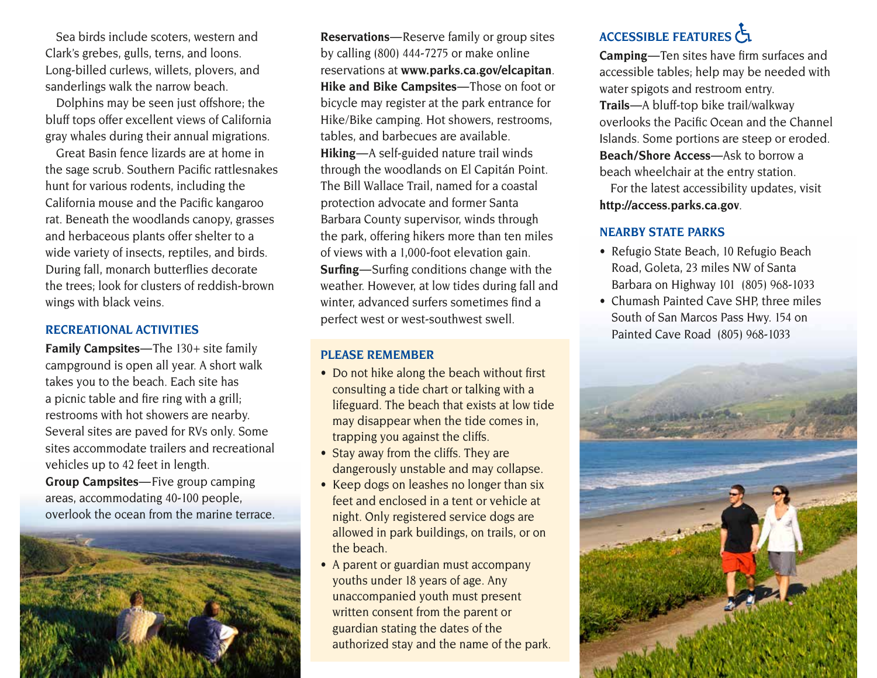Sea birds include scoters, western and Clark's grebes, gulls, terns, and loons. Long-billed curlews, willets, plovers, and sanderlings walk the narrow beach.

Dolphins may be seen just offshore; the bluff tops offer excellent views of California gray whales during their annual migrations.

Great Basin fence lizards are at home in the sage scrub. Southern Pacific rattlesnakes hunt for various rodents, including the California mouse and the Pacific kangaroo rat. Beneath the woodlands canopy, grasses and herbaceous plants offer shelter to a wide variety of insects, reptiles, and birds. During fall, monarch butterflies decorate the trees; look for clusters of reddish-brown wings with black veins.

#### **RECREATIONAL ACTIVITIES**

**Family Campsites**—The 130+ site family campground is open all year. A short walk takes you to the beach. Each site has a picnic table and fire ring with a grill; restrooms with hot showers are nearby. Several sites are paved for RVs only. Some sites accommodate trailers and recreational vehicles up to 42 feet in length. **Group Campsites—Five group camping** 

areas, accommodating 40-100 people, overlook the ocean from the marine terrace.



**Reservations** — Reserve family or group sites by calling (800) 444-7275 or make online reservations at **[www.parks.ca.gov/elcapitan](http://www.parks.ca.gov/elcapitan)**. **Hike and Bike Campsites**—Those on foot or bicycle may register at the park entrance for Hike/Bike camping. Hot showers, restrooms, tables, and barbecues are available. Hiking-A self-guided nature trail winds through the woodlands on El Capitán Point. The Bill Wallace Trail, named for a coastal protection advocate and former Santa Barbara County supervisor, winds through the park, offering hikers more than ten miles of views with a 1,000-foot elevation gain. **Surfing**—Surfing conditions change with the weather. However, at low tides during fall and winter, advanced surfers sometimes find a perfect west or west-southwest swell.

#### **PLEASE REMEMBER**

- Do not hike along the beach without first consulting a tide chart or talking with a lifeguard. The beach that exists at low tide may disappear when the tide comes in, trapping you against the cliffs.
- Stay away from the cliffs. They are dangerously unstable and may collapse.
- Keep dogs on leashes no longer than six feet and enclosed in a tent or vehicle at night. Only registered service dogs are allowed in park buildings, on trails, or on the beach.
- A parent or guardian must accompany youths under 18 years of age. Any unaccompanied youth must present written consent from the parent or guardian stating the dates of the authorized stay and the name of the park.

### **ACCESSIBLE FEATURES**

**Camping**—Ten sites have firm surfaces and accessible tables; help may be needed with water spigots and restroom entry. **Trails** —A bluff-top bike trail/walkway overlooks the Pacific Ocean and the Channel Islands. Some portions are steep or eroded. **Beach/Shore Access**—Ask to borrow a beach wheelchair at the entry station.

For the latest accessibility updates, visit **<http://access.parks.ca.gov>**.

#### **NEARBY STATE PARKS**

- Refugio State Beach, 10 Refugio Beach Road, Goleta, 23 miles NW of Santa Barbara on Highway 101 (805) 968-1033
- Chumash Painted Cave SHP, three miles South of San Marcos Pass Hwy. 154 on Painted Cave Road (805) 968-1033